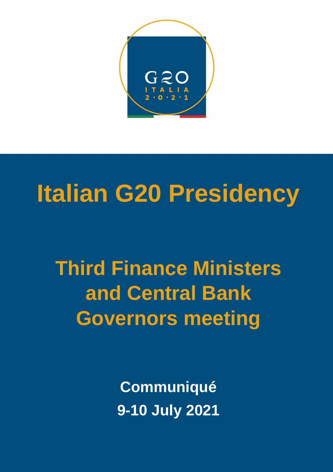

## **Italian G20 Presidency**

**Third Finance Ministers and Central Bank Governors meeting**

> **Communiqué 9-10 July 2021**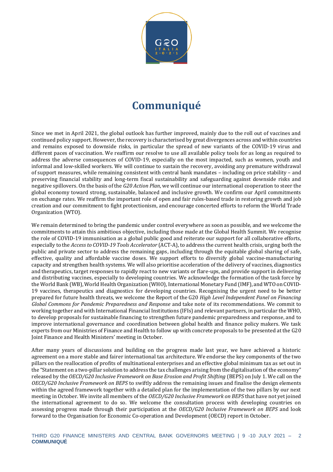

## **Communiqué**

Since we met in April 2021, the global outlook has further improved, mainly due to the roll out of vaccines and continued policy support. However, the recovery is characterised by great divergences across and within countries and remains exposed to downside risks, in particular the spread of new variants of the COVID-19 virus and different paces of vaccination. We reaffirm our resolve to use all available policy tools for as long as required to address the adverse consequences of COVID-19, especially on the most impacted, such as women, youth and informal and low-skilled workers. We will continue to sustain the recovery, avoiding any premature withdrawal of support measures, while remaining consistent with central bank mandates – including on price stability – and preserving financial stability and long-term fiscal sustainability and safeguarding against downside risks and negative spillovers. On the basis of the *G20 Action Plan*, we will continue our international cooperation to steer the global economy toward strong, sustainable, balanced and inclusive growth. We confirm our April commitments on exchange rates. We reaffirm the important role of open and fair rules-based trade in restoring growth and job creation and our commitment to fight protectionism, and encourage concerted efforts to reform the World Trade Organization (WTO).

We remain determined to bring the pandemic under control everywhere as soon as possible, and we welcome the commitments to attain this ambitious objective, including those made at the Global Health Summit. We recognise the role of COVID-19 immunisation as a global public good and reiterate our support for all collaborative efforts, especially to the *Access to COVID-19 Tools Accelerator* (ACT-A), to address the current health crisis, urging both the public and private sector to address the remaining gaps, including through the equitable global sharing of safe, effective, quality and affordable vaccine doses. We support efforts to diversify global vaccine-manufacturing capacity and strengthen health systems. We will also prioritise acceleration of the delivery of vaccines, diagnostics and therapeutics, target responses to rapidly react to new variants or flare-ups, and provide support in delivering and distributing vaccines, especially to developing countries. We acknowledge the formation of the task force by the World Bank (WB), World Health Organization (WHO), International Monetary Fund (IMF), and WTO on COVID-19 vaccines, therapeutics and diagnostics for developing countries. Recognising the urgent need to be better prepared for future health threats, we welcome the Report of the G20 *High Level Independent Panel on Financing Global Commons for Pandemic Preparedness and Response* and take note of its recommendations. We commit to working together and with International Financial Institutions (IFIs) and relevant partners, in particular the WHO, to develop proposals for sustainable financing to strengthen future pandemic preparedness and response, and to improve international governance and coordination between global health and finance policy makers. We task experts from our Ministries of Finance and Health to follow up with concrete proposals to be presented at the G20 Joint Finance and Health Ministers' meeting in October.

After many years of discussions and building on the progress made last year, we have achieved a historic agreement on a more stable and fairer international tax architecture. We endorse the key components of the two pillars on the reallocation of profits of multinational enterprises and an effective global minimum tax as set out in the "Statement on a two-pillar solution to address the tax challenges arising from the digitalisation of the economy" released by the *OECD/G20 Inclusive Framework on Base Erosion and Profit Shifting* (BEPS) on July 1. We call on the *OECD/G20 Inclusive Framework on BEPS* to swiftly address the remaining issues and finalise the design elements within the agreed framework together with a detailed plan for the implementation of the two pillars by our next meeting in October. We invite all members of the *OECD/G20 Inclusive Framework on BEPS* that have not yet joined the international agreement to do so. We welcome the consultation process with developing countries on assessing progress made through their participation at the *OECD/G20 Inclusive Framework on BEPS* and look forward to the Organisation for Economic Co-operation and Development (OECD) report in October.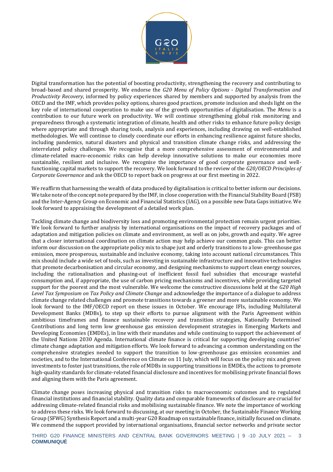

Digital transformation has the potential of boosting productivity, strengthening the recovery and contributing to broad-based and shared prosperity. We endorse the *G20 Menu of Policy Options* - *Digital Transformation and Productivity Recovery*, informed by policy experiences shared by members and supported by analysis from the OECD and the IMF, which provides policy options, shares good practices, promote inclusion and sheds light on the key role of international cooperation to make use of the growth opportunities of digitalisation. The *Menu* is a contribution to our future work on productivity. We will continue strengthening global risk monitoring and preparedness through a systematic integration of climate, health and other risks to enhance future policy design where appropriate and through sharing tools, analysis and experiences, including drawing on well-established methodologies. We will continue to closely coordinate our efforts in enhancing resilience against future shocks, including pandemics, natural disasters and physical and transition climate change risks, and addressing the interrelated policy challenges. We recognise that a more comprehensive assessment of environmental and climate-related macro-economic risks can help develop innovative solutions to make our economies more sustainable, resilient and inclusive. We recognise the importance of good corporate governance and wellfunctioning capital markets to support the recovery. We look forward to the review of the *G20/OECD Principles of Corporate Governance* and ask the OECD to report back on progress at our first meeting in 2022.

We reaffirm that harnessing the wealth of data produced by digitalisation is critical to better inform our decisions. We take note of the concept note prepared by the IMF, in close cooperation with the Financial Stability Board (FSB) and the Inter-Agency Group on Economic and Financial Statistics (IAG), on a possible new Data Gaps initiative. We look forward to appraising the development of a detailed work plan.

Tackling climate change and biodiversity loss and promoting environmental protection remain urgent priorities. We look forward to further analysis by international organisations on the impact of recovery packages and of adaptation and mitigation policies on climate and environment, as well as on jobs, growth and equity. We agree that a closer international coordination on climate action may help achieve our common goals. This can better inform our discussion on the appropriate policy mix to shape just and orderly transitions to a low- greenhouse gas emission, more prosperous, sustainable and inclusive economy, taking into account national circumstances. This mix should include a wide set of tools, such as investing in sustainable infrastructure and innovative technologies that promote decarbonisation and circular economy, and designing mechanisms to support clean energy sources, including the rationalisation and phasing-out of inefficient fossil fuel subsidies that encourage wasteful consumption and, if appropriate, the use of carbon pricing mechanisms and incentives, while providing targeted support for the poorest and the most vulnerable. We welcome the constructive discussions held at the *G20 High Level Tax Symposium on Tax Policy and Climate Change* and acknowledge the importance of a dialogue to address climate change related challenges and promote transitions towards a greener and more sustainable economy. We look forward to the IMF/OECD report on these issues in October. We encourage IFIs, including Multilateral Development Banks (MDBs), to step up their efforts to pursue alignment with the Paris Agreement within ambitious timeframes and finance sustainable recovery and transition strategies, Nationally Determined Contributions and long term low greenhouse gas emission development strategies in Emerging Markets and Developing Economies (EMDEs), in line with their mandates and while continuing to support the achievement of the United Nations 2030 Agenda. International climate finance is critical for supporting developing countries' climate change adaptation and mitigation efforts. We look forward to advancing a common understanding on the comprehensive strategies needed to support the transition to low-greenhouse gas emission economies and societies, and to the International Conference on Climate on 11 July, which will focus on the policy mix and green investments to foster just transitions, the role of MDBs in supporting transitions in EMDEs, the actions to promote high-quality standards for climate-related financial disclosure and incentives for mobilising private financial flows and aligning them with the Paris agreement.

Climate change poses increasing physical and transition risks to macroeconomic outcomes and to regulated financial institutions and financial stability. Quality data and comparable frameworks of disclosure are crucial for addressing climate-related financial risks and mobilising sustainable finance. We note the importance of working to address these risks. We look forward to discussing, at our meeting in October, the Sustainable Finance Working Group (SFWG) Synthesis Report and a multi-year G20 Roadmap on sustainable finance, initially focused on climate. We commend the support provided by international organisations, financial sector networks and private sector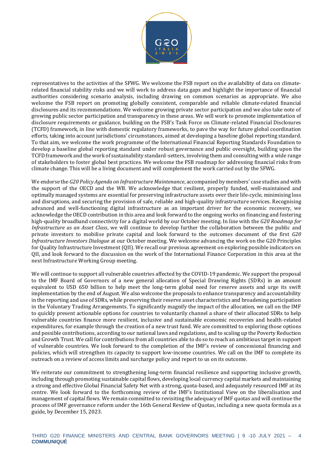

representatives to the activities of the SFWG. We welcome the FSB report on the availability of data on climaterelated financial stability risks and we will work to address data gaps and highlight the importance of financial authorities considering scenario analysis, including drawing on common scenarios as appropriate. We also welcome the FSB report on promoting globally consistent, comparable and reliable climate-related financial disclosures and its recommendations. We welcome growing private sector participation and we also take note of growing public sector participation and transparency in these areas. We will work to promote implementation of disclosure requirements or guidance, building on the FSB's Task Force on Climate-related Financial Disclosures (TCFD) framework, in line with domestic regulatory frameworks, to pave the way for future global coordination efforts, taking into account jurisdictions' circumstances, aimed at developing a baseline global reporting standard. To that aim, we welcome the work programme of the International Financial Reporting Standards Foundation to develop a baseline global reporting standard under robust governance and public oversight, building upon the TCFD framework and the work of sustainability standard-setters, involving them and consulting with a wide range of stakeholders to foster global best practices. We welcome the FSB roadmap for addressing financial risks from climate change. This will be a living document and will complement the work carried out by the SFWG.

We endorse the *G20 Policy Agenda on Infrastructure Maintenance*, accompanied by members' case studies and with the support of the OECD and the WB. We acknowledge that resilient, properly funded, well-maintained and optimally managed systems are essential for preserving infrastructure assets over their life-cycle, minimising loss and disruptions, and securing the provision of safe, reliable and high-quality infrastructure services. Recognising advanced and well-functioning digital infrastructure as an important driver for the economic recovery, we acknowledge the OECD contribution in this area and look forward to the ongoing works on financing and fostering high-quality broadband connectivity for a digital world by our October meeting. In line with the *G20 Roadmap for Infrastructure as an Asset Class*, we will continue to develop further the collaboration between the public and private investors to mobilise private capital and look forward to the outcomes document of the first *G20 Infrastructure Investors Dialogue* at our October meeting. We welcome advancing the work on the G20 Principles for Quality Infrastructure Investment (QII). We recall our previous agreement on exploring possible indicators on QII, and look forward to the discussion on the work of the International Finance Corporation in this area at the next Infrastructure Working Group meeting.

We will continue to support all vulnerable countries affected by the COVID-19 pandemic. We support the proposal to the IMF Board of Governors of a new general allocation of Special Drawing Rights (SDRs) in an amount equivalent to USD 650 billion to help meet the long-term global need for reserve assets and urge its swift implementation by the end of August. We also welcome the proposals to enhance transparency and accountability in the reporting and use of SDRs, while preserving their reserve asset characteristics and broadening participation in the Voluntary Trading Arrangements. To significantly magnify the impact of the allocation, we call on the IMF to quickly present actionable options for countries to voluntarily channel a share of their allocated SDRs to help vulnerable countries finance more resilient, inclusive and sustainable economic recoveries and health-related expenditures, for example through the creation of a new trust fund. We are committed to exploring those options and possible contributions, according to our national laws and regulations, and to scaling up the Poverty Reduction and Growth Trust. We call for contributions from all countries able to do so to reach an ambitious target in support of vulnerable countries. We look forward to the completion of the IMF's review of concessional financing and policies, which will strengthen its capacity to support low-income countries. We call on the IMF to complete its outreach on a review of access limits and surcharge policy and report to us on its outcome.

We reiterate our commitment to strengthening long-term financial resilience and supporting inclusive growth, including through promoting sustainable capital flows, developing local currency capital markets and maintaining a strong and effective Global Financial Safety Net with a strong, quota-based, and adequately resourced IMF at its centre. We look forward to the forthcoming review of the IMF's Institutional View on the liberalisation and management of capital flows. We remain committed to revisiting the adequacy of IMF quotas and will continue the process of IMF governance reform under the 16th General Review of Quotas, including a new quota formula as a guide, by December 15, 2023.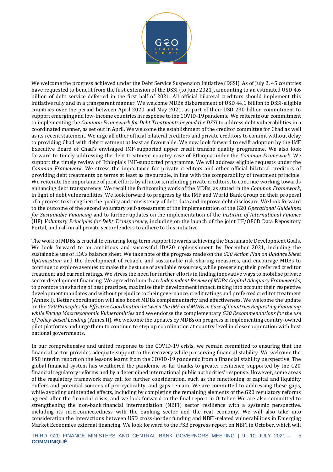

We welcome the progress achieved under the Debt Service Suspension Initiative (DSSI). As of July 2, 45 countries have requested to benefit from the first extension of the DSSI (to June 2021), amounting to an estimated USD 4.6 billion of debt service deferred in the first half of 2021. All official bilateral creditors should implement this initiative fully and in a transparent manner. We welcome MDBs disbursement of USD 44.1 billion to DSSI-eligible countries over the period between April 2020 and May 2021, as part of their USD 230 billion commitment to support emerging and low-income countries in response to the COVID-19 pandemic. We reiterate our commitment to implementing the *Common Framework for Debt Treatments beyond the DSSI* to address debt vulnerabilities in a coordinated manner, as set out in April. We welcome the establishment of the creditor committee for Chad as well as its recent statement. We urge all other official bilateral creditors and private creditors to commit without delay to providing Chad with debt treatment at least as favourable. We now look forward to swift adoption by the IMF Executive Board of Chad's envisaged IMF-supported upper credit tranche quality programme. We also look forward to timely addressing the debt treatment country case of Ethiopia under the *Common Framework*. We support the timely review of Ethiopia's IMF-supported programme. We will address eligible requests under the *Common Framework*. We stress the importance for private creditors and other official bilateral creditors of providing debt treatments on terms at least as favourable, in line with the comparability of treatment principle. We reiterate the importance of joint efforts by all actors, including private creditors, to continue working towards enhancing debt transparency. We recall the forthcoming work of the MDBs, as stated in the *Common Framework*, in light of debt vulnerabilities. We look forward to progress by the IMF and World Bank Group on their proposal of a process to strengthen the quality and consistency of debt data and improve debt disclosure. We look forward to the outcome of the second voluntary self-assessment of the implementation of the G20 *Operational Guidelines for Sustainable Financing* and to further updates on the implementation of the *Institute of International Finance* (IIF) *Voluntary Principles for Debt Transparency,* including on the launch of the joint IIF/OECD Data Repository Portal, and call on all private sector lenders to adhere to this initiative.

The work of MDBs is crucial to ensuring long-term support towards achieving the Sustainable Development Goals. We look forward to an ambitious and successful IDA20 replenishment by December 2021, including the sustainable use of IDA's balance sheet. We take note of the progress made on the *G20 Action Plan on Balance Sheet Optimisation* and the development of reliable and sustainable risk-sharing measures, and encourage MDBs to continue to explore avenues to make the best use of available resources, while preserving their preferred creditor treatment and current ratings. We stress the need for further efforts in finding innovative ways to mobilise private sector development financing. We agreed to launch an *Independent Review of MDBs' Capital Adequacy Frameworks*, to promote the sharing of best practices, maximise their development impact, taking into account their respective development mandates and without prejudice to their governance, credit ratings and preferred creditor treatment (Annex I). Better coordination will also boost MDBs complementarity and effectiveness. We welcome the update on the *G20 Principles for Effective Coordination between the IMF and MDBs in Case of Countries Requesting Financing while Facing Macroeconomic Vulnerabilities* and we endorse the complementary *G20 Recommendations for the use of Policy-Based Lending* (Annex II). We welcome the updates by MDBs on progress in implementing country-owned pilot platforms and urge them to continue to step up coordination at country level in close cooperation with host national governments.

In our comprehensive and united response to the COVID-19 crisis, we remain committed to ensuring that the financial sector provides adequate support to the recovery while preserving financial stability. We welcome the FSB interim report on the lessons learnt from the COVID-19 pandemic from a financial stability perspective. The global financial system has weathered the pandemic so far thanks to greater resilience, supported by the G20 financial regulatory reforms and by a determined international public authorities' response. However, some areas of the regulatory framework may call for further consideration, such as the functioning of capital and liquidity buffers and potential sources of pro-cyclicality, and gaps remain. We are committed to addressing these gaps, while avoiding unintended effects, including by completing the remaining elements of the G20 regulatory reforms agreed after the financial crisis, and we look forward to the final report in October. We are also committed to strengthening the non-bank financial intermediation (NBFI) sector resilience with a systemic perspective, including its interconnectedness with the banking sector and the real economy. We will also take into consideration the interactions between USD cross-border funding and NBFI-related vulnerabilities in Emerging Market Economies external financing. We look forward to the FSB progress report on NBFI in October, which will